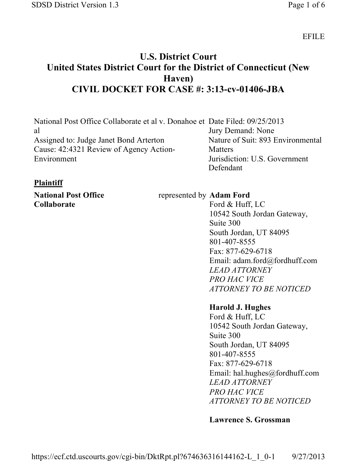EFILE

# **U.S. District Court United States District Court for the District of Connecticut (New Haven) CIVIL DOCKET FOR CASE #: 3:13-cv-01406-JBA**

| National Post Office Collaborate et al v. Donahoe et Date Filed: 09/25/2013 |                                   |
|-----------------------------------------------------------------------------|-----------------------------------|
| al                                                                          | Jury Demand: None                 |
| Assigned to: Judge Janet Bond Arterton                                      | Nature of Suit: 893 Environmental |
| Cause: 42:4321 Review of Agency Action-                                     | Matters                           |
| Environment                                                                 | Jurisdiction: U.S. Government     |
|                                                                             | Defendant                         |

# **Plaintiff**

**National Post Office Collaborate**

represented by **Adam Ford** 

Ford & Huff, LC 10542 South Jordan Gateway, Suite 300 South Jordan, UT 84095 801-407-8555 Fax: 877-629-6718 Email: adam.ford@fordhuff.com *LEAD ATTORNEY PRO HAC VICE ATTORNEY TO BE NOTICED*

#### **Harold J. Hughes**

Ford & Huff, LC 10542 South Jordan Gateway, Suite 300 South Jordan, UT 84095 801-407-8555 Fax: 877-629-6718 Email: hal.hughes@fordhuff.com *LEAD ATTORNEY PRO HAC VICE ATTORNEY TO BE NOTICED*

# **Lawrence S. Grossman**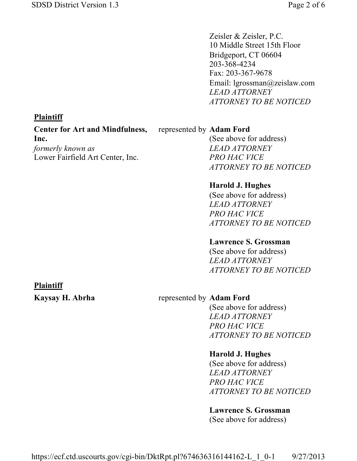Zeisler & Zeisler, P.C. 10 Middle Street 15th Floor Bridgeport, CT 06604 203-368-4234 Fax: 203-367-9678 Email: lgrossman@zeislaw.com *LEAD ATTORNEY ATTORNEY TO BE NOTICED*

# **Plaintiff**

**Center for Art and Mindfulness, Inc.** *formerly known as*

Lower Fairfield Art Center, Inc.

#### represented by **Adam Ford**

(See above for address) *LEAD ATTORNEY PRO HAC VICE ATTORNEY TO BE NOTICED*

### **Harold J. Hughes**

(See above for address) *LEAD ATTORNEY PRO HAC VICE ATTORNEY TO BE NOTICED*

#### **Lawrence S. Grossman**

(See above for address) *LEAD ATTORNEY ATTORNEY TO BE NOTICED*

#### **Plaintiff**

#### **Kaysay H. Abrha** represented by **Adam Ford**

(See above for address) *LEAD ATTORNEY PRO HAC VICE ATTORNEY TO BE NOTICED*

#### **Harold J. Hughes**

(See above for address) *LEAD ATTORNEY PRO HAC VICE ATTORNEY TO BE NOTICED*

#### **Lawrence S. Grossman**

(See above for address)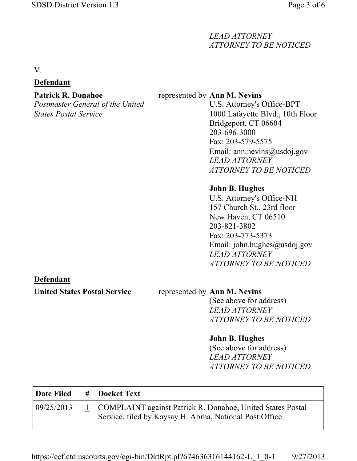# *LEAD ATTORNEY ATTORNEY TO BE NOTICED*

V.

# **Defendant**

#### **Patrick R. Donahoe**

*Postmaster General of the United States Postal Service*

# represented by **Ann M. Nevins**

U.S. Attorney's Office-BPT 1000 Lafayette Blvd., 10th Floor Bridgeport, CT 06604 203-696-3000 Fax: 203-579-5575 Email: ann.nevins@usdoj.gov *LEAD ATTORNEY ATTORNEY TO BE NOTICED*

# **John B. Hughes**

U.S. Attorney's Office-NH 157 Church St., 23rd floor New Haven, CT 06510 203-821-3802 Fax: 203-773-5373 Email: john.hughes@usdoj.gov *LEAD ATTORNEY ATTORNEY TO BE NOTICED*

# **Defendant**

#### **United States Postal Service** represented by **Ann M. Nevins**

(See above for address) *LEAD ATTORNEY ATTORNEY TO BE NOTICED*

# **John B. Hughes**

(See above for address) *LEAD ATTORNEY ATTORNEY TO BE NOTICED*

| <b>Date Filed</b> | # Docket Text                                                                                                             |
|-------------------|---------------------------------------------------------------------------------------------------------------------------|
| 09/25/2013        | 1   COMPLAINT against Patrick R. Donahoe, United States Postal<br>Service, filed by Kaysay H. Abrha, National Post Office |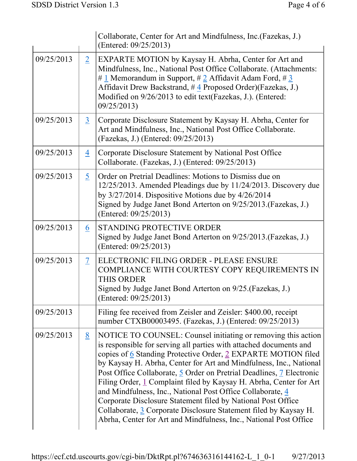|            |                          | Collaborate, Center for Art and Mindfulness, Inc. (Fazekas, J.)<br>(Entered: 09/25/2013)                                                                                                                                                                                                                                                                                                                                                                                                                                                                                                                                                                                                        |  |
|------------|--------------------------|-------------------------------------------------------------------------------------------------------------------------------------------------------------------------------------------------------------------------------------------------------------------------------------------------------------------------------------------------------------------------------------------------------------------------------------------------------------------------------------------------------------------------------------------------------------------------------------------------------------------------------------------------------------------------------------------------|--|
| 09/25/2013 | $\overline{2}$           | EXPARTE MOTION by Kaysay H. Abrha, Center for Art and<br>Mindfulness, Inc., National Post Office Collaborate. (Attachments:<br># 1 Memorandum in Support, # 2 Affidavit Adam Ford, # 3<br>Affidavit Drew Backstrand, #4 Proposed Order)(Fazekas, J.)<br>Modified on 9/26/2013 to edit text(Fazekas, J.). (Entered:<br>09/25/2013)                                                                                                                                                                                                                                                                                                                                                               |  |
| 09/25/2013 | $\overline{3}$           | Corporate Disclosure Statement by Kaysay H. Abrha, Center for<br>Art and Mindfulness, Inc., National Post Office Collaborate.<br>(Fazekas, J.) (Entered: 09/25/2013)                                                                                                                                                                                                                                                                                                                                                                                                                                                                                                                            |  |
| 09/25/2013 | $\overline{4}$           | Corporate Disclosure Statement by National Post Office<br>Collaborate. (Fazekas, J.) (Entered: 09/25/2013)                                                                                                                                                                                                                                                                                                                                                                                                                                                                                                                                                                                      |  |
| 09/25/2013 | $5\overline{)}$          | Order on Pretrial Deadlines: Motions to Dismiss due on<br>12/25/2013. Amended Pleadings due by 11/24/2013. Discovery due<br>by $3/27/2014$ . Dispositive Motions due by $4/26/2014$<br>Signed by Judge Janet Bond Arterton on 9/25/2013. (Fazekas, J.)<br>(Entered: 09/25/2013)                                                                                                                                                                                                                                                                                                                                                                                                                 |  |
| 09/25/2013 | 6                        | <b>STANDING PROTECTIVE ORDER</b><br>Signed by Judge Janet Bond Arterton on 9/25/2013. (Fazekas, J.)<br>(Entered: 09/25/2013)                                                                                                                                                                                                                                                                                                                                                                                                                                                                                                                                                                    |  |
| 09/25/2013 | $\overline{\mathcal{I}}$ | ELECTRONIC FILING ORDER - PLEASE ENSURE<br>COMPLIANCE WITH COURTESY COPY REQUIREMENTS IN<br><b>THIS ORDER</b><br>Signed by Judge Janet Bond Arterton on 9/25. (Fazekas, J.)<br>(Entered: 09/25/2013)                                                                                                                                                                                                                                                                                                                                                                                                                                                                                            |  |
| 09/25/2013 |                          | Filing fee received from Zeisler and Zeisler: \$400.00, receipt<br>number CTXB00003495. (Fazekas, J.) (Entered: 09/25/2013)                                                                                                                                                                                                                                                                                                                                                                                                                                                                                                                                                                     |  |
| 09/25/2013 | 8                        | NOTICE TO COUNSEL: Counsel initiating or removing this action<br>is responsible for serving all parties with attached documents and<br>copies of 6 Standing Protective Order, 2 EXPARTE MOTION filed<br>by Kaysay H. Abrha, Center for Art and Mindfulness, Inc., National<br>Post Office Collaborate, 5 Order on Pretrial Deadlines, 7 Electronic<br>Filing Order, 1 Complaint filed by Kaysay H. Abrha, Center for Art<br>and Mindfulness, Inc., National Post Office Collaborate, 4<br>Corporate Disclosure Statement filed by National Post Office<br>Collaborate, 3 Corporate Disclosure Statement filed by Kaysay H.<br>Abrha, Center for Art and Mindfulness, Inc., National Post Office |  |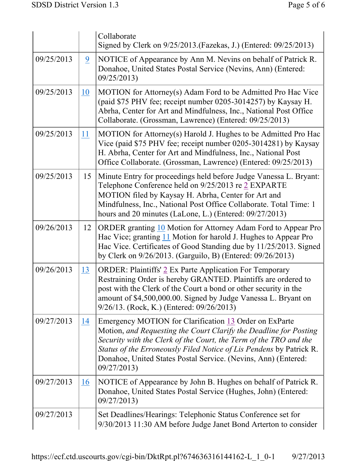|            |                | Collaborate<br>Signed by Clerk on 9/25/2013. (Fazekas, J.) (Entered: 09/25/2013)                                                                                                                                                                                                                                                                        |  |  |
|------------|----------------|---------------------------------------------------------------------------------------------------------------------------------------------------------------------------------------------------------------------------------------------------------------------------------------------------------------------------------------------------------|--|--|
| 09/25/2013 | $\overline{9}$ | NOTICE of Appearance by Ann M. Nevins on behalf of Patrick R.<br>Donahoe, United States Postal Service (Nevins, Ann) (Entered:<br>09/25/2013)                                                                                                                                                                                                           |  |  |
| 09/25/2013 | <u>10</u>      | MOTION for Attorney(s) Adam Ford to be Admitted Pro Hac Vice<br>(paid \$75 PHV fee; receipt number 0205-3014257) by Kaysay H.<br>Abrha, Center for Art and Mindfulness, Inc., National Post Office<br>Collaborate. (Grossman, Lawrence) (Entered: 09/25/2013)                                                                                           |  |  |
| 09/25/2013 | 11             | MOTION for Attorney(s) Harold J. Hughes to be Admitted Pro Hac<br>Vice (paid \$75 PHV fee; receipt number 0205-3014281) by Kaysay<br>H. Abrha, Center for Art and Mindfulness, Inc., National Post<br>Office Collaborate. (Grossman, Lawrence) (Entered: 09/25/2013)                                                                                    |  |  |
| 09/25/2013 | 15             | Minute Entry for proceedings held before Judge Vanessa L. Bryant:<br>Telephone Conference held on 9/25/2013 re 2 EXPARTE<br>MOTION filed by Kaysay H. Abrha, Center for Art and<br>Mindfulness, Inc., National Post Office Collaborate. Total Time: 1<br>hours and 20 minutes (LaLone, L.) (Entered: 09/27/2013)                                        |  |  |
| 09/26/2013 | 12             | ORDER granting 10 Motion for Attorney Adam Ford to Appear Pro<br>Hac Vice; granting 11 Motion for harold J. Hughes to Appear Pro<br>Hac Vice. Certificates of Good Standing due by 11/25/2013. Signed<br>by Clerk on 9/26/2013. (Garguilo, B) (Entered: 09/26/2013)                                                                                     |  |  |
| 09/26/2013 | <u>13</u>      | <b>ORDER: Plaintiffs' 2 Ex Parte Application For Temporary</b><br>Restraining Order is hereby GRANTED. Plaintiffs are ordered to<br>post with the Clerk of the Court a bond or other security in the<br>amount of \$4,500,000.00. Signed by Judge Vanessa L. Bryant on<br>9/26/13. (Rock, K.) (Entered: 09/26/2013)                                     |  |  |
| 09/27/2013 | 14             | Emergency MOTION for Clarification 13 Order on ExParte<br>Motion, and Requesting the Court Clarify the Deadline for Posting<br>Security with the Clerk of the Court, the Term of the TRO and the<br>Status of the Erroneously Filed Notice of Lis Pendens by Patrick R.<br>Donahoe, United States Postal Service. (Nevins, Ann) (Entered:<br>09/27/2013 |  |  |
| 09/27/2013 | 16             | NOTICE of Appearance by John B. Hughes on behalf of Patrick R.<br>Donahoe, United States Postal Service (Hughes, John) (Entered:<br>09/27/2013)                                                                                                                                                                                                         |  |  |
| 09/27/2013 |                | Set Deadlines/Hearings: Telephonic Status Conference set for<br>9/30/2013 11:30 AM before Judge Janet Bond Arterton to consider                                                                                                                                                                                                                         |  |  |